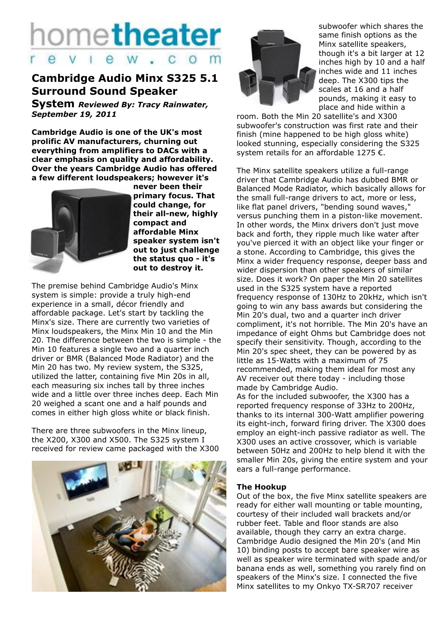# hometheater eview.com

## **Cambridge Audio Minx S325 5.1 Surround Sound Speaker**

**System** *Reviewed By: Tracy Rainwater, September 19, 2011*

**Cambridge Audio is one of the UK's most prolific AV manufacturers, churning out everything from amplifiers to DACs with a clear emphasis on quality and affordability. Over the years Cambridge Audio has offered a few different loudspeakers; however it's** 



**never been their primary focus. That could change, for their all-new, highly compact and affordable Minx speaker system isn't out to just challenge the status quo - it's out to destroy it.**

The premise behind Cambridge Audio's Minx system is simple: provide a truly high-end experience in a small, décor friendly and affordable package. Let's start by tackling the Minx's size. There are currently two varieties of Minx loudspeakers, the Minx Min 10 and the Min 20. The difference between the two is simple - the Min 10 features a single two and a quarter inch driver or BMR (Balanced Mode Radiator) and the Min 20 has two. My review system, the S325, utilized the latter, containing five Min 20s in all, each measuring six inches tall by three inches wide and a little over three inches deep. Each Min 20 weighed a scant one and a half pounds and comes in either high gloss white or black finish.

There are three subwoofers in the Minx lineup, the X200, X300 and X500. The S325 system I received for review came packaged with the X300





subwoofer which shares the same finish options as the Minx satellite speakers, though it's a bit larger at 12 inches high by 10 and a half inches wide and 11 inches deep. The X300 tips the scales at 16 and a half pounds, making it easy to place and hide within a

room. Both the Min 20 satellite's and X300 subwoofer's construction was first rate and their finish (mine happened to be high gloss white) looked stunning, especially considering the S325 system retails for an affordable 1275 €.

The Minx satellite speakers utilize a full-range driver that Cambridge Audio has dubbed BMR or Balanced Mode Radiator, which basically allows for the small full-range drivers to act, more or less, like flat panel drivers, "bending sound waves," versus punching them in a piston-like movement. In other words, the Minx drivers don't just move back and forth, they ripple much like water after you've pierced it with an object like your finger or a stone. According to Cambridge, this gives the Minx a wider frequency response, deeper bass and wider dispersion than other speakers of similar size. Does it work? On paper the Min 20 satellites used in the S325 system have a reported frequency response of 130Hz to 20kHz, which isn't going to win any bass awards but considering the Min 20's dual, two and a quarter inch driver compliment, it's not horrible. The Min 20's have an impedance of eight Ohms but Cambridge does not specify their sensitivity. Though, according to the Min 20's spec sheet, they can be powered by as little as 15-Watts with a maximum of 75 recommended, making them ideal for most any AV receiver out there today - including those made by Cambridge Audio.

As for the included subwoofer, the X300 has a reported frequency response of 33Hz to 200Hz, thanks to its internal 300-Watt amplifier powering its eight-inch, forward firing driver. The X300 does employ an eight-inch passive radiator as well. The X300 uses an active crossover, which is variable between 50Hz and 200Hz to help blend it with the smaller Min 20s, giving the entire system and your ears a full-range performance.

#### **The Hookup**

Out of the box, the five Minx satellite speakers are ready for either wall mounting or table mounting, courtesy of their included wall brackets and/or rubber feet. Table and floor stands are also available, though they carry an extra charge. Cambridge Audio designed the Min 20's (and Min 10) binding posts to accept bare speaker wire as well as speaker wire terminated with spade and/or banana ends as well, something you rarely find on speakers of the Minx's size. I connected the five Minx satellites to my Onkyo TX-SR707 receiver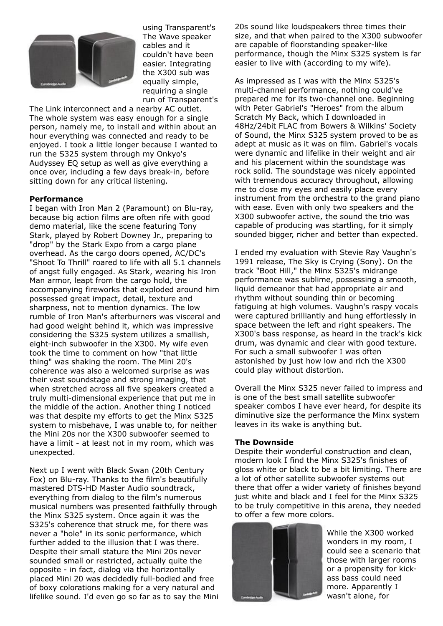

using Transparent's The Wave speaker cables and it couldn't have been easier. Integrating the X300 sub was equally simple, requiring a single run of Transparent's

The Link interconnect and a nearby AC outlet. The whole system was easy enough for a single person, namely me, to install and within about an hour everything was connected and ready to be enjoyed. I took a little longer because I wanted to run the S325 system through my Onkyo's Audyssey EQ setup as well as give everything a once over, including a few days break-in, before sitting down for any critical listening.

#### **Performance**

I began with Iron Man 2 (Paramount) on Blu-ray, because big action films are often rife with good demo material, like the scene featuring Tony Stark, played by Robert Downey Jr., preparing to "drop" by the Stark Expo from a cargo plane overhead. As the cargo doors opened, AC/DC's "Shoot To Thrill" roared to life with all 5.1 channels of angst fully engaged. As Stark, wearing his Iron Man armor, leapt from the cargo hold, the accompanying fireworks that exploded around him possessed great impact, detail, texture and sharpness, not to mention dynamics. The low rumble of Iron Man's afterburners was visceral and had good weight behind it, which was impressive considering the S325 system utilizes a smallish, eight-inch subwoofer in the X300. My wife even took the time to comment on how "that little thing" was shaking the room. The Mini 20's coherence was also a welcomed surprise as was their vast soundstage and strong imaging, that when stretched across all five speakers created a truly multi-dimensional experience that put me in the middle of the action. Another thing I noticed was that despite my efforts to get the Minx S325 system to misbehave, I was unable to, for neither the Mini 20s nor the X300 subwoofer seemed to have a limit - at least not in my room, which was unexpected.

Next up I went with Black Swan (20th Century Fox) on Blu-ray. Thanks to the film's beautifully mastered DTS-HD Master Audio soundtrack, everything from dialog to the film's numerous musical numbers was presented faithfully through the Minx S325 system. Once again it was the S325's coherence that struck me, for there was never a "hole" in its sonic performance, which further added to the illusion that I was there. Despite their small stature the Mini 20s never sounded small or restricted, actually quite the opposite - in fact, dialog via the horizontally placed Mini 20 was decidedly full-bodied and free of boxy colorations making for a very natural and lifelike sound. I'd even go so far as to say the Mini 20s sound like loudspeakers three times their size, and that when paired to the X300 subwoofer are capable of floorstanding speaker-like performance, though the Minx S325 system is far easier to live with (according to my wife).

As impressed as I was with the Minx S325's multi-channel performance, nothing could've prepared me for its two-channel one. Beginning with Peter Gabriel's "Heroes" from the album Scratch My Back, which I downloaded in 48Hz/24bit FLAC from Bowers & Wilkins' Society of Sound, the Minx S325 system proved to be as adept at music as it was on film. Gabriel's vocals were dynamic and lifelike in their weight and air and his placement within the soundstage was rock solid. The soundstage was nicely appointed with tremendous accuracy throughout, allowing me to close my eyes and easily place every instrument from the orchestra to the grand piano with ease. Even with only two speakers and the X300 subwoofer active, the sound the trio was capable of producing was startling, for it simply sounded bigger, richer and better than expected.

I ended my evaluation with Stevie Ray Vaughn's 1991 release, The Sky is Crying (Sony). On the track "Boot Hill," the Minx S325's midrange performance was sublime, possessing a smooth, liquid demeanor that had appropriate air and rhythm without sounding thin or becoming fatiguing at high volumes. Vaughn's raspy vocals were captured brilliantly and hung effortlessly in space between the left and right speakers. The X300's bass response, as heard in the track's kick drum, was dynamic and clear with good texture. For such a small subwoofer I was often astonished by just how low and rich the X300 could play without distortion.

Overall the Minx S325 never failed to impress and is one of the best small satellite subwoofer speaker combos I have ever heard, for despite its diminutive size the performance the Minx system leaves in its wake is anything but.

#### **The Downside**

Despite their wonderful construction and clean, modern look I find the Minx S325's finishes of gloss white or black to be a bit limiting. There are a lot of other satellite subwoofer systems out there that offer a wider variety of finishes beyond just white and black and I feel for the Minx S325 to be truly competitive in this arena, they needed to offer a few more colors.



While the X300 worked wonders in my room, I could see a scenario that those with larger rooms or a propensity for kickass bass could need more. Apparently I wasn't alone, for